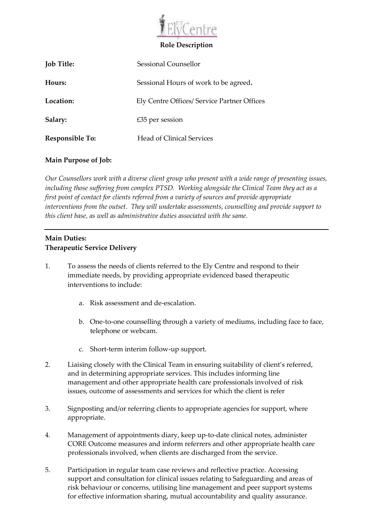

#### **Role Description**

| <b>Job Title:</b>      | Sessional Counsellor                        |
|------------------------|---------------------------------------------|
| Hours:                 | Sessional Hours of work to be agreed.       |
| Location:              | Ely Centre Offices/ Service Partner Offices |
| Salary:                | £35 per session                             |
| <b>Responsible To:</b> | <b>Head of Clinical Services</b>            |

### **Main Purpose of Job:**

*Our Counsellors work with a diverse client group who present with a wide range of presenting issues, including those suffering from complex PTSD. Working alongside the Clinical Team they act as a first point of contact for clients referred from a variety of sources and provide appropriate interventions from the outset. They will undertake assessments, counselling and provide support to this client base, as well as administrative duties associated with the same.* 

## **Main Duties: Therapeutic Service Delivery**

- 1. To assess the needs of clients referred to the Ely Centre and respond to their immediate needs, by providing appropriate evidenced based therapeutic interventions to include:
	- a. Risk assessment and de-escalation.
	- b. One-to-one counselling through a variety of mediums, including face to face, telephone or webcam.
	- c. Short-term interim follow-up support.
- 2. Liaising closely with the Clinical Team in ensuring suitability of client's referred, and in determining appropriate services. This includes informing line management and other appropriate health care professionals involved of risk issues, outcome of assessments and services for which the client is refer
- 3. Signposting and/or referring clients to appropriate agencies for support, where appropriate.
- 4. Management of appointments diary, keep up-to-date clinical notes, administer CORE Outcome measures and inform referrers and other appropriate health care professionals involved, when clients are discharged from the service.
- 5. Participation in regular team case reviews and reflective practice. Accessing support and consultation for clinical issues relating to Safeguarding and areas of risk behaviour or concerns, utilising line management and peer support systems for effective information sharing, mutual accountability and quality assurance.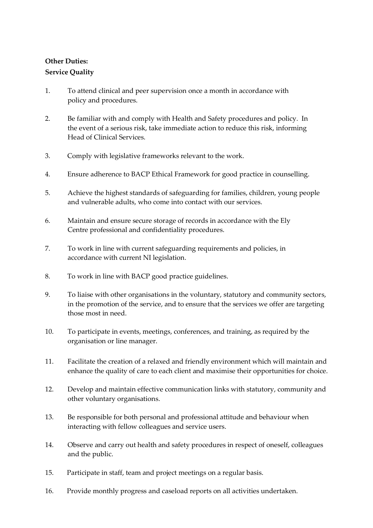# **Other Duties: Service Quality**

- 1. To attend clinical and peer supervision once a month in accordance with policy and procedures.
- 2. Be familiar with and comply with Health and Safety procedures and policy. In the event of a serious risk, take immediate action to reduce this risk, informing Head of Clinical Services.
- 3. Comply with legislative frameworks relevant to the work.
- 4. Ensure adherence to BACP Ethical Framework for good practice in counselling.
- 5. Achieve the highest standards of safeguarding for families, children, young people and vulnerable adults, who come into contact with our services.
- 6. Maintain and ensure secure storage of records in accordance with the Ely Centre professional and confidentiality procedures.
- 7. To work in line with current safeguarding requirements and policies, in accordance with current NI legislation.
- 8. To work in line with BACP good practice guidelines.
- 9. To liaise with other organisations in the voluntary, statutory and community sectors, in the promotion of the service, and to ensure that the services we offer are targeting those most in need.
- 10. To participate in events, meetings, conferences, and training, as required by the organisation or line manager.
- 11. Facilitate the creation of a relaxed and friendly environment which will maintain and enhance the quality of care to each client and maximise their opportunities for choice.
- 12. Develop and maintain effective communication links with statutory, community and other voluntary organisations.
- 13. Be responsible for both personal and professional attitude and behaviour when interacting with fellow colleagues and service users.
- 14. Observe and carry out health and safety procedures in respect of oneself, colleagues and the public.
- 15. Participate in staff, team and project meetings on a regular basis.
- 16. Provide monthly progress and caseload reports on all activities undertaken.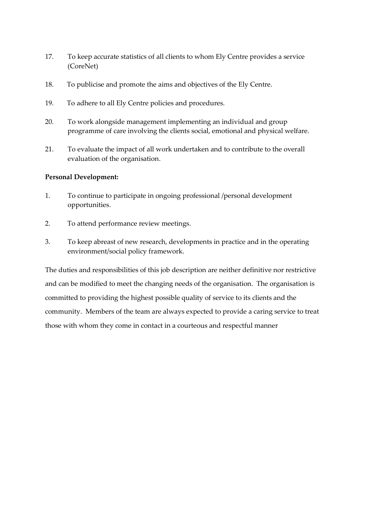- 17. To keep accurate statistics of all clients to whom Ely Centre provides a service (CoreNet)
- 18. To publicise and promote the aims and objectives of the Ely Centre.
- 19. To adhere to all Ely Centre policies and procedures.
- 20. To work alongside management implementing an individual and group programme of care involving the clients social, emotional and physical welfare.
- 21. To evaluate the impact of all work undertaken and to contribute to the overall evaluation of the organisation.

### **Personal Development:**

- 1. To continue to participate in ongoing professional /personal development opportunities.
- 2. To attend performance review meetings.
- 3. To keep abreast of new research, developments in practice and in the operating environment/social policy framework.

The duties and responsibilities of this job description are neither definitive nor restrictive and can be modified to meet the changing needs of the organisation. The organisation is committed to providing the highest possible quality of service to its clients and the community. Members of the team are always expected to provide a caring service to treat those with whom they come in contact in a courteous and respectful manner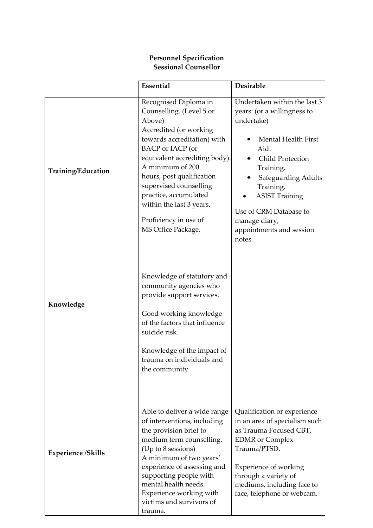## **Personnel Specification Sessional Counsellor**

|                           | Essential                                                                                                                                                                                                                                                                                                                                                | Desirable                                                                                                                                                                                                                                                                                      |
|---------------------------|----------------------------------------------------------------------------------------------------------------------------------------------------------------------------------------------------------------------------------------------------------------------------------------------------------------------------------------------------------|------------------------------------------------------------------------------------------------------------------------------------------------------------------------------------------------------------------------------------------------------------------------------------------------|
| Training/Education        | Recognised Diploma in<br>Counselling. (Level 5 or<br>Above)<br>Accredited (or working<br>towards accreditation) with<br>BACP or IACP (or<br>equivalent accrediting body).<br>A minimum of 200<br>hours, post qualification<br>supervised counselling<br>practice, accumulated<br>within the last 3 years.<br>Proficiency in use of<br>MS Office Package. | Undertaken within the last 3<br>years: (or a willingness to<br>undertake)<br>Mental Health First<br>Aid.<br><b>Child Protection</b><br>Training.<br>Safeguarding Adults<br>Training.<br><b>ASIST Training</b><br>Use of CRM Database to<br>manage diary,<br>appointments and session<br>notes. |
| Knowledge                 | Knowledge of statutory and<br>community agencies who<br>provide support services.<br>Good working knowledge<br>of the factors that influence<br>suicide risk.<br>Knowledge of the impact of<br>trauma on individuals and<br>the community.                                                                                                               |                                                                                                                                                                                                                                                                                                |
| <b>Experience /Skills</b> | Able to deliver a wide range<br>of interventions, including<br>the provision brief to<br>medium term counselling.<br>(Up to 8 sessions)<br>A minimum of two years'<br>experience of assessing and<br>supporting people with<br>mental health needs.<br>Experience working with<br>victims and survivors of<br>trauma.                                    | Qualification or experience<br>in an area of specialism such<br>as Trauma Focused CBT,<br><b>EDMR</b> or Complex<br>Trauma/PTSD.<br><b>Experience of working</b><br>through a variety of<br>mediums, including face to<br>face, telephone or webcam.                                           |